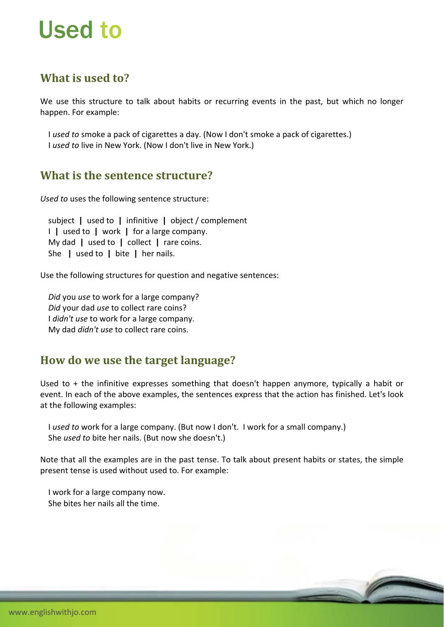# Used to

# **What is used to?**

We use this structure to talk about habits or recurring events in the past, but which no longer happen. For example:

 I *used to* smoke a pack of cigarettes a day. (Now I don't smoke a pack of cigarettes.) I *used to* live in New York. (Now I don't live in New York.)

#### **What is the sentence structure?**

*Used to* uses the following sentence structure:

 subject **|** used to **|** infinitive **|** object / complement I **|** used to **|** work **|** for a large company. My dad **|** used to **|** collect **|** rare coins. She **|** used to **|** bite **|** her nails.

Use the following structures for question and negative sentences:

 *Did* you *use* to work for a large company? *Did* your dad *use* to collect rare coins? I *didn't use* to work for a large company. My dad *didn't use* to collect rare coins.

## **How do we use the target language?**

Used to + the infinitive expresses something that doesn't happen anymore, typically a habit or event. In each of the above examples, the sentences express that the action has finished. Let's look at the following examples:

 I *used to* work for a large company. (But now I don't. I work for a small company.) She *used to* bite her nails. (But now she doesn't.)

Note that all the examples are in the past tense. To talk about present habits or states, the simple present tense is used without used to. For example:

 I work for a large company now. She bites her nails all the time.